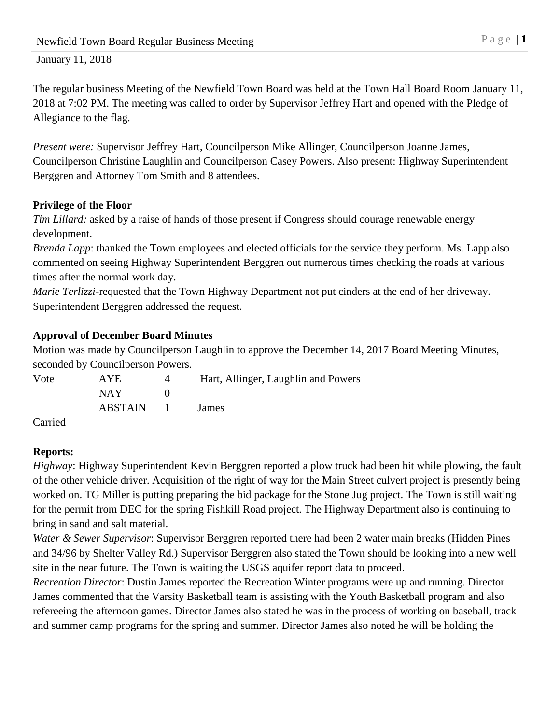The regular business Meeting of the Newfield Town Board was held at the Town Hall Board Room January 11, 2018 at 7:02 PM. The meeting was called to order by Supervisor Jeffrey Hart and opened with the Pledge of Allegiance to the flag.

*Present were:* Supervisor Jeffrey Hart, Councilperson Mike Allinger, Councilperson Joanne James, Councilperson Christine Laughlin and Councilperson Casey Powers. Also present: Highway Superintendent Berggren and Attorney Tom Smith and 8 attendees.

## **Privilege of the Floor**

*Tim Lillard:* asked by a raise of hands of those present if Congress should courage renewable energy development.

*Brenda Lapp*: thanked the Town employees and elected officials for the service they perform. Ms. Lapp also commented on seeing Highway Superintendent Berggren out numerous times checking the roads at various times after the normal work day.

*Marie Terlizzi*-requested that the Town Highway Department not put cinders at the end of her driveway. Superintendent Berggren addressed the request.

## **Approval of December Board Minutes**

Motion was made by Councilperson Laughlin to approve the December 14, 2017 Board Meeting Minutes, seconded by Councilperson Powers.

| Vote                 | AYE     |               | Hart, Allinger, Laughlin and Powers |  |
|----------------------|---------|---------------|-------------------------------------|--|
|                      | NAY.    |               |                                     |  |
|                      | ABSTAIN | and the state | <b>James</b>                        |  |
| $\sim$ $\sim$ $\sim$ |         |               |                                     |  |

Carried

# **Reports:**

*Highway*: Highway Superintendent Kevin Berggren reported a plow truck had been hit while plowing, the fault of the other vehicle driver. Acquisition of the right of way for the Main Street culvert project is presently being worked on. TG Miller is putting preparing the bid package for the Stone Jug project. The Town is still waiting for the permit from DEC for the spring Fishkill Road project. The Highway Department also is continuing to bring in sand and salt material.

*Water & Sewer Supervisor*: Supervisor Berggren reported there had been 2 water main breaks (Hidden Pines and 34/96 by Shelter Valley Rd.) Supervisor Berggren also stated the Town should be looking into a new well site in the near future. The Town is waiting the USGS aquifer report data to proceed.

*Recreation Director*: Dustin James reported the Recreation Winter programs were up and running. Director James commented that the Varsity Basketball team is assisting with the Youth Basketball program and also refereeing the afternoon games. Director James also stated he was in the process of working on baseball, track and summer camp programs for the spring and summer. Director James also noted he will be holding the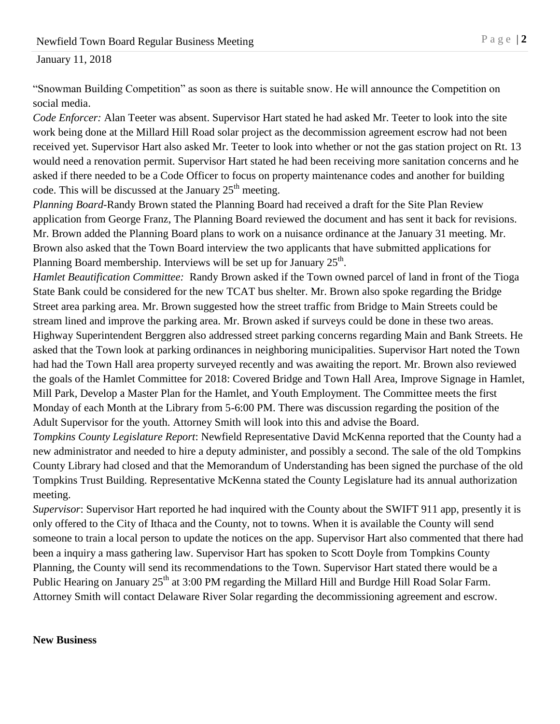"Snowman Building Competition" as soon as there is suitable snow. He will announce the Competition on social media.

*Code Enforcer:* Alan Teeter was absent. Supervisor Hart stated he had asked Mr. Teeter to look into the site work being done at the Millard Hill Road solar project as the decommission agreement escrow had not been received yet. Supervisor Hart also asked Mr. Teeter to look into whether or not the gas station project on Rt. 13 would need a renovation permit. Supervisor Hart stated he had been receiving more sanitation concerns and he asked if there needed to be a Code Officer to focus on property maintenance codes and another for building code. This will be discussed at the January  $25<sup>th</sup>$  meeting.

*Planning Board*-Randy Brown stated the Planning Board had received a draft for the Site Plan Review application from George Franz, The Planning Board reviewed the document and has sent it back for revisions. Mr. Brown added the Planning Board plans to work on a nuisance ordinance at the January 31 meeting. Mr. Brown also asked that the Town Board interview the two applicants that have submitted applications for Planning Board membership. Interviews will be set up for January  $25<sup>th</sup>$ .

*Hamlet Beautification Committee:* Randy Brown asked if the Town owned parcel of land in front of the Tioga State Bank could be considered for the new TCAT bus shelter. Mr. Brown also spoke regarding the Bridge Street area parking area. Mr. Brown suggested how the street traffic from Bridge to Main Streets could be stream lined and improve the parking area. Mr. Brown asked if surveys could be done in these two areas. Highway Superintendent Berggren also addressed street parking concerns regarding Main and Bank Streets. He asked that the Town look at parking ordinances in neighboring municipalities. Supervisor Hart noted the Town had had the Town Hall area property surveyed recently and was awaiting the report. Mr. Brown also reviewed the goals of the Hamlet Committee for 2018: Covered Bridge and Town Hall Area, Improve Signage in Hamlet, Mill Park, Develop a Master Plan for the Hamlet, and Youth Employment. The Committee meets the first Monday of each Month at the Library from 5-6:00 PM. There was discussion regarding the position of the Adult Supervisor for the youth. Attorney Smith will look into this and advise the Board.

*Tompkins County Legislature Report*: Newfield Representative David McKenna reported that the County had a new administrator and needed to hire a deputy administer, and possibly a second. The sale of the old Tompkins County Library had closed and that the Memorandum of Understanding has been signed the purchase of the old Tompkins Trust Building. Representative McKenna stated the County Legislature had its annual authorization meeting.

*Supervisor*: Supervisor Hart reported he had inquired with the County about the SWIFT 911 app, presently it is only offered to the City of Ithaca and the County, not to towns. When it is available the County will send someone to train a local person to update the notices on the app. Supervisor Hart also commented that there had been a inquiry a mass gathering law. Supervisor Hart has spoken to Scott Doyle from Tompkins County Planning, the County will send its recommendations to the Town. Supervisor Hart stated there would be a Public Hearing on January 25<sup>th</sup> at 3:00 PM regarding the Millard Hill and Burdge Hill Road Solar Farm. Attorney Smith will contact Delaware River Solar regarding the decommissioning agreement and escrow.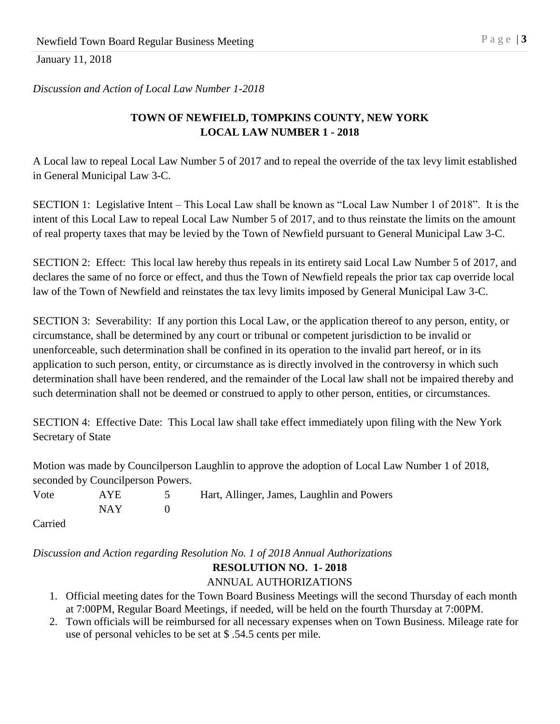*Discussion and Action of Local Law Number 1-2018*

# **TOWN OF NEWFIELD, TOMPKINS COUNTY, NEW YORK LOCAL LAW NUMBER 1 - 2018**

A Local law to repeal Local Law Number 5 of 2017 and to repeal the override of the tax levy limit established in General Municipal Law 3-C.

SECTION 1: Legislative Intent – This Local Law shall be known as "Local Law Number 1 of 2018". It is the intent of this Local Law to repeal Local Law Number 5 of 2017, and to thus reinstate the limits on the amount of real property taxes that may be levied by the Town of Newfield pursuant to General Municipal Law 3-C.

SECTION 2: Effect: This local law hereby thus repeals in its entirety said Local Law Number 5 of 2017, and declares the same of no force or effect, and thus the Town of Newfield repeals the prior tax cap override local law of the Town of Newfield and reinstates the tax levy limits imposed by General Municipal Law 3-C.

SECTION 3: Severability: If any portion this Local Law, or the application thereof to any person, entity, or circumstance, shall be determined by any court or tribunal or competent jurisdiction to be invalid or unenforceable, such determination shall be confined in its operation to the invalid part hereof, or in its application to such person, entity, or circumstance as is directly involved in the controversy in which such determination shall have been rendered, and the remainder of the Local law shall not be impaired thereby and such determination shall not be deemed or construed to apply to other person, entities, or circumstances.

SECTION 4: Effective Date: This Local law shall take effect immediately upon filing with the New York Secretary of State

Motion was made by Councilperson Laughlin to approve the adoption of Local Law Number 1 of 2018, seconded by Councilperson Powers.

Vote AYE 5 Hart, Allinger, James, Laughlin and Powers  $NAY$  0

Carried

*Discussion and Action regarding Resolution No. 1 of 2018 Annual Authorizations*

### **RESOLUTION NO. 1- 2018**

### ANNUAL AUTHORIZATIONS

- 1. Official meeting dates for the Town Board Business Meetings will the second Thursday of each month at 7:00PM, Regular Board Meetings, if needed, will be held on the fourth Thursday at 7:00PM.
- 2. Town officials will be reimbursed for all necessary expenses when on Town Business. Mileage rate for use of personal vehicles to be set at \$ .54.5 cents per mile.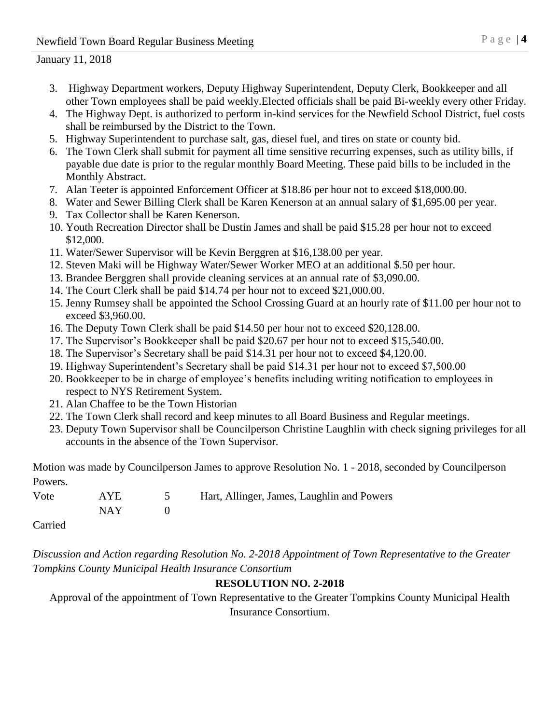- 3. Highway Department workers, Deputy Highway Superintendent, Deputy Clerk, Bookkeeper and all other Town employees shall be paid weekly.Elected officials shall be paid Bi-weekly every other Friday.
- 4. The Highway Dept. is authorized to perform in-kind services for the Newfield School District, fuel costs shall be reimbursed by the District to the Town.
- 5. Highway Superintendent to purchase salt, gas, diesel fuel, and tires on state or county bid.
- 6. The Town Clerk shall submit for payment all time sensitive recurring expenses, such as utility bills, if payable due date is prior to the regular monthly Board Meeting. These paid bills to be included in the Monthly Abstract.
- 7. Alan Teeter is appointed Enforcement Officer at \$18.86 per hour not to exceed \$18,000.00.
- 8. Water and Sewer Billing Clerk shall be Karen Kenerson at an annual salary of \$1,695.00 per year.
- 9. Tax Collector shall be Karen Kenerson.
- 10. Youth Recreation Director shall be Dustin James and shall be paid \$15.28 per hour not to exceed \$12,000.
- 11. Water/Sewer Supervisor will be Kevin Berggren at \$16,138.00 per year.
- 12. Steven Maki will be Highway Water/Sewer Worker MEO at an additional \$.50 per hour.
- 13. Brandee Berggren shall provide cleaning services at an annual rate of \$3,090.00.
- 14. The Court Clerk shall be paid \$14.74 per hour not to exceed \$21,000.00.
- 15. Jenny Rumsey shall be appointed the School Crossing Guard at an hourly rate of \$11.00 per hour not to exceed \$3,960.00.
- 16. The Deputy Town Clerk shall be paid \$14.50 per hour not to exceed \$20,128.00.
- 17. The Supervisor's Bookkeeper shall be paid \$20.67 per hour not to exceed \$15,540.00.
- 18. The Supervisor's Secretary shall be paid \$14.31 per hour not to exceed \$4,120.00.
- 19. Highway Superintendent's Secretary shall be paid \$14.31 per hour not to exceed \$7,500.00
- 20. Bookkeeper to be in charge of employee's benefits including writing notification to employees in respect to NYS Retirement System.
- 21. Alan Chaffee to be the Town Historian
- 22. The Town Clerk shall record and keep minutes to all Board Business and Regular meetings.
- 23. Deputy Town Supervisor shall be Councilperson Christine Laughlin with check signing privileges for all accounts in the absence of the Town Supervisor.

Motion was made by Councilperson James to approve Resolution No. 1 - 2018, seconded by Councilperson Powers.

| Vote                 | AYE   | 5 Hart, Allinger, James, Laughlin and Powers |
|----------------------|-------|----------------------------------------------|
|                      | NAY 1 |                                              |
| $\sim$ $\sim$ $\sim$ |       |                                              |

Carried

*Discussion and Action regarding Resolution No. 2-2018 Appointment of Town Representative to the Greater Tompkins County Municipal Health Insurance Consortium*

# **RESOLUTION NO. 2-2018**

Approval of the appointment of Town Representative to the Greater Tompkins County Municipal Health Insurance Consortium.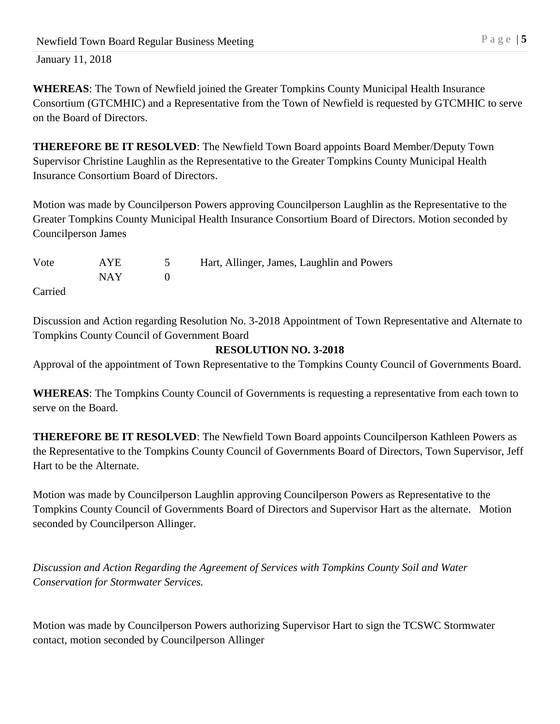**WHEREAS**: The Town of Newfield joined the Greater Tompkins County Municipal Health Insurance Consortium (GTCMHIC) and a Representative from the Town of Newfield is requested by GTCMHIC to serve on the Board of Directors.

**THEREFORE BE IT RESOLVED**: The Newfield Town Board appoints Board Member/Deputy Town Supervisor Christine Laughlin as the Representative to the Greater Tompkins County Municipal Health Insurance Consortium Board of Directors.

Motion was made by Councilperson Powers approving Councilperson Laughlin as the Representative to the Greater Tompkins County Municipal Health Insurance Consortium Board of Directors. Motion seconded by Councilperson James

| Vote    | <b>AYE</b> | Hart, Allinger, James, Laughlin and Powers |
|---------|------------|--------------------------------------------|
|         | NAY -      |                                            |
| Carried |            |                                            |

Discussion and Action regarding Resolution No. 3-2018 Appointment of Town Representative and Alternate to Tompkins County Council of Government Board

# **RESOLUTION NO. 3-2018**

Approval of the appointment of Town Representative to the Tompkins County Council of Governments Board.

**WHEREAS**: The Tompkins County Council of Governments is requesting a representative from each town to serve on the Board.

**THEREFORE BE IT RESOLVED**: The Newfield Town Board appoints Councilperson Kathleen Powers as the Representative to the Tompkins County Council of Governments Board of Directors, Town Supervisor, Jeff Hart to be the Alternate.

Motion was made by Councilperson Laughlin approving Councilperson Powers as Representative to the Tompkins County Council of Governments Board of Directors and Supervisor Hart as the alternate. Motion seconded by Councilperson Allinger.

*Discussion and Action Regarding the Agreement of Services with Tompkins County Soil and Water Conservation for Stormwater Services.*

Motion was made by Councilperson Powers authorizing Supervisor Hart to sign the TCSWC Stormwater contact, motion seconded by Councilperson Allinger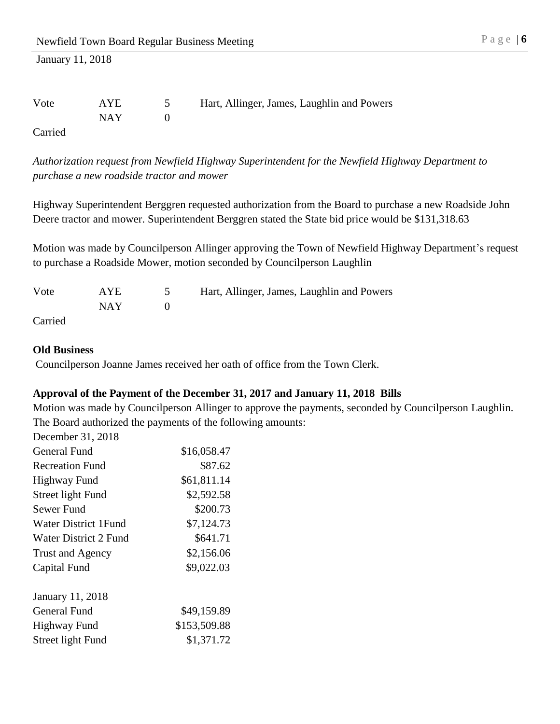| Vote   | AYE   | Hart, Allinger, James, Laughlin and Powers |
|--------|-------|--------------------------------------------|
|        | NAY 1 |                                            |
| $\sim$ |       |                                            |

Carried

*Authorization request from Newfield Highway Superintendent for the Newfield Highway Department to purchase a new roadside tractor and mower*

Highway Superintendent Berggren requested authorization from the Board to purchase a new Roadside John Deere tractor and mower. Superintendent Berggren stated the State bid price would be \$131,318.63

Motion was made by Councilperson Allinger approving the Town of Newfield Highway Department's request to purchase a Roadside Mower, motion seconded by Councilperson Laughlin

| Vote    | <b>AYE</b> | Hart, Allinger, James, Laughlin and Powers |
|---------|------------|--------------------------------------------|
|         | NAY 1      |                                            |
| Carried |            |                                            |

#### **Old Business**

Councilperson Joanne James received her oath of office from the Town Clerk.

# **Approval of the Payment of the December 31, 2017 and January 11, 2018 Bills**

Motion was made by Councilperson Allinger to approve the payments, seconded by Councilperson Laughlin. The Board authorized the payments of the following amounts:

| December 31, 2018           |              |
|-----------------------------|--------------|
| General Fund                | \$16,058.47  |
| <b>Recreation Fund</b>      | \$87.62      |
| Highway Fund                | \$61,811.14  |
| Street light Fund           | \$2,592.58   |
| Sewer Fund                  | \$200.73     |
| <b>Water District 1Fund</b> | \$7,124.73   |
| Water District 2 Fund       | \$641.71     |
| Trust and Agency            | \$2,156.06   |
| Capital Fund                | \$9,022.03   |
| <b>January 11, 2018</b>     |              |
| General Fund                | \$49,159.89  |
| <b>Highway Fund</b>         | \$153,509.88 |
| Street light Fund           | \$1,371.72   |